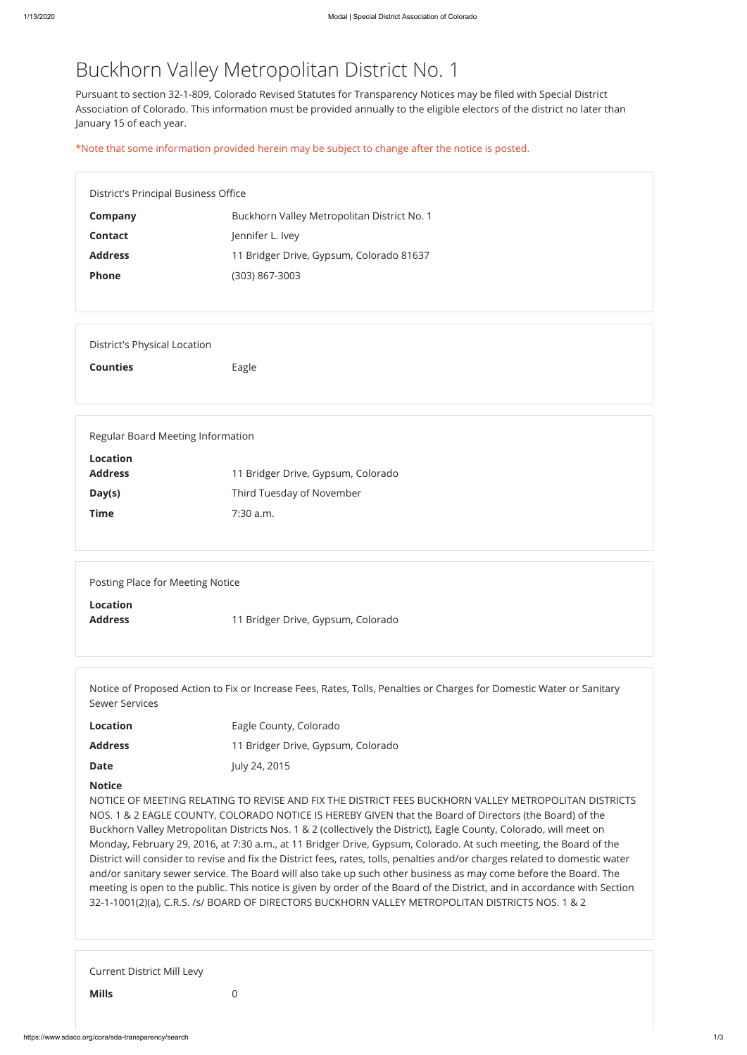## Buckhorn Valley Metropolitan District No. 1

Pursuant to section 32-1-809, Colorado Revised Statutes for Transparency Notices may be filed with Special District Association of Colorado. This information must be provided annually to the eligible electors of the district no later than January 15 of each year.

| District's Principal Business Office |                                             |  |
|--------------------------------------|---------------------------------------------|--|
| <b>Company</b>                       | Buckhorn Valley Metropolitan District No. 1 |  |
| <b>Contact</b>                       | Jennifer L. Ivey                            |  |
| <b>Address</b>                       | 11 Bridger Drive, Gypsum, Colorado 81637    |  |
| <b>Phone</b>                         | (303) 867-3003                              |  |
|                                      |                                             |  |
|                                      |                                             |  |
| <b>District's Physical Location</b>  |                                             |  |
| <b>Counties</b>                      | Eagle                                       |  |
|                                      |                                             |  |
|                                      |                                             |  |
| Regular Board Meeting Information    |                                             |  |
| <b>Location</b>                      |                                             |  |
| <b>Address</b>                       | 11 Bridger Drive, Gypsum, Colorado          |  |
| Day(s)                               | Third Tuesday of November                   |  |

**Time** 7:30 a.m.

\*Note that some information provided herein may be subject to change after the notice is posted.

| Posting Place for Meeting Notice  |                                    |  |
|-----------------------------------|------------------------------------|--|
| <b>Location</b><br><b>Address</b> | 11 Bridger Drive, Gypsum, Colorado |  |

| Notice of Proposed Action to Fix or Increase Fees, Rates, Tolls, Penalties or Charges for Domestic Water or Sanitary<br><b>Sewer Services</b> |                                    |  |
|-----------------------------------------------------------------------------------------------------------------------------------------------|------------------------------------|--|
| <b>Location</b>                                                                                                                               | Eagle County, Colorado             |  |
| <b>Address</b>                                                                                                                                | 11 Bridger Drive, Gypsum, Colorado |  |
| <b>Date</b>                                                                                                                                   | July 24, 2015                      |  |

**Notice**

NOTICE OF MEETING RELATING TO REVISE AND FIX THE DISTRICT FEES BUCKHORN VALLEY METROPOLITAN DISTRICTS NOS. 1 & 2 EAGLE COUNTY, COLORADO NOTICE IS HEREBY GIVEN that the Board of Directors (the Board) of the Buckhorn Valley Metropolitan Districts Nos. 1 & 2 (collectively the District), Eagle County, Colorado, will meet on Monday, February 29, 2016, at 7:30 a.m., at 11 Bridger Drive, Gypsum, Colorado. At such meeting, the Board of the District will consider to revise and fix the District fees, rates, tolls, penalties and/or charges related to domestic water and/or sanitary sewer service. The Board will also take up such other business as may come before the Board. The meeting is open to the public. This notice is given by order of the Board of the District, and in accordance with Section 32-1-1001(2)(a), C.R.S. /s/ BOARD OF DIRECTORS BUCKHORN VALLEY METROPOLITAN DISTRICTS NOS. 1 & 2

Current District Mill Levy

**Mills** 0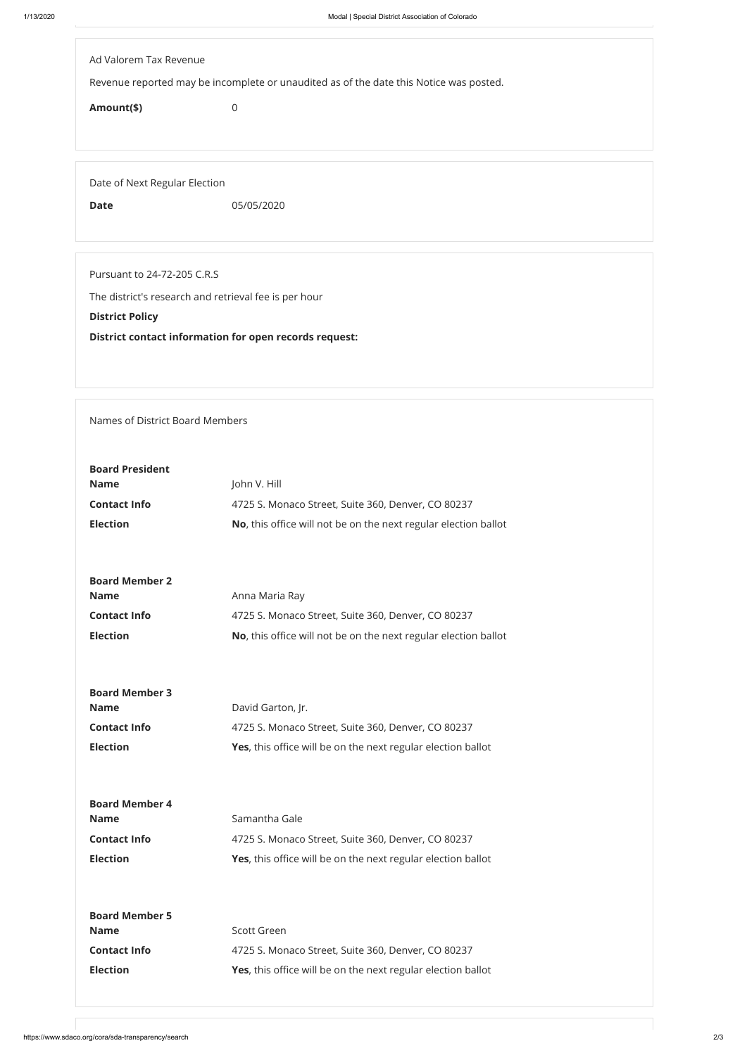| Ad Valorem Tax Revenue        |                                                                                        |  |
|-------------------------------|----------------------------------------------------------------------------------------|--|
|                               | Revenue reported may be incomplete or unaudited as of the date this Notice was posted. |  |
|                               |                                                                                        |  |
| Amount(\$)                    | $\overline{0}$                                                                         |  |
|                               |                                                                                        |  |
|                               |                                                                                        |  |
|                               |                                                                                        |  |
| Date of Next Regular Election |                                                                                        |  |
| <b>Date</b>                   | 05/05/2020                                                                             |  |
|                               |                                                                                        |  |
|                               |                                                                                        |  |
| Pursuant to 24-72-205 C.R.S   |                                                                                        |  |
|                               |                                                                                        |  |
|                               | The district's research and retrieval fee is per hour                                  |  |
| <b>District Policy</b>        |                                                                                        |  |
|                               | <b>District contact information for open records request:</b>                          |  |

Names of District Board Members

| <b>Board President</b><br><b>Name</b><br><b>Contact Info</b><br><b>Election</b> | John V. Hill<br>4725 S. Monaco Street, Suite 360, Denver, CO 80237<br>No, this office will not be on the next regular election ballot   |
|---------------------------------------------------------------------------------|-----------------------------------------------------------------------------------------------------------------------------------------|
| <b>Board Member 2</b><br><b>Name</b><br><b>Contact Info</b><br><b>Election</b>  | Anna Maria Ray<br>4725 S. Monaco Street, Suite 360, Denver, CO 80237<br>No, this office will not be on the next regular election ballot |
| <b>Board Member 3</b><br><b>Name</b><br><b>Contact Info</b><br><b>Election</b>  | David Garton, Jr.<br>4725 S. Monaco Street, Suite 360, Denver, CO 80237<br>Yes, this office will be on the next regular election ballot |

| <b>Board Member 4</b>                |                                                              |
|--------------------------------------|--------------------------------------------------------------|
| <b>Name</b>                          | Samantha Gale                                                |
| <b>Contact Info</b>                  | 4725 S. Monaco Street, Suite 360, Denver, CO 80237           |
| <b>Election</b>                      | Yes, this office will be on the next regular election ballot |
| <b>Board Member 5</b><br><b>Name</b> | Scott Green                                                  |
|                                      |                                                              |
| <b>Contact Info</b>                  | 4725 S. Monaco Street, Suite 360, Denver, CO 80237           |
| <b>Election</b>                      | Yes, this office will be on the next regular election ballot |